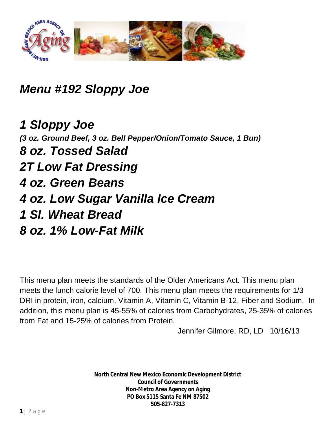

*Menu #192 Sloppy Joe*

*1 Sloppy Joe (3 oz. Ground Beef, 3 oz. Bell Pepper/Onion/Tomato Sauce, 1 Bun) 8 oz. Tossed Salad 2T Low Fat Dressing 4 oz. Green Beans 4 oz. Low Sugar Vanilla Ice Cream 1 Sl. Wheat Bread 8 oz. 1% Low-Fat Milk*

This menu plan meets the standards of the Older Americans Act. This menu plan meets the lunch calorie level of 700. This menu plan meets the requirements for 1/3 DRI in protein, iron, calcium, Vitamin A, Vitamin C, Vitamin B-12, Fiber and Sodium. In addition, this menu plan is 45-55% of calories from Carbohydrates, 25-35% of calories from Fat and 15-25% of calories from Protein.

Jennifer Gilmore, RD, LD 10/16/13

**North Central New Mexico Economic Development District Council of Governments Non-Metro Area Agency on Aging PO Box 5115 Santa Fe NM 87502 505-827-7313**